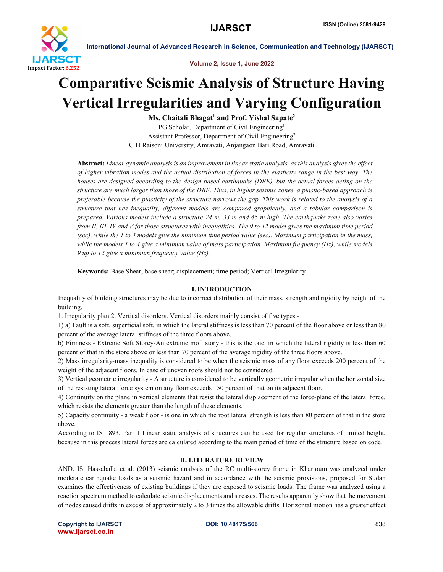

Volume 2, Issue 1, June 2022

## Comparative Seismic Analysis of Structure Having Vertical Irregularities and Varying Configuration

 $Ms. Chaitali Bhagat<sup>1</sup> and Prof. Vishal Sapate<sup>2</sup>$ PG Scholar, Department of Civil Engineering<sup>1</sup> Assistant Professor, Department of Civil Engineering2 G H Raisoni University, Amravati, Anjangaon Bari Road, Amravati

Abstract: *Linear dynamic analysis is an improvement in linear static analysis, as this analysis gives the effect of higher vibration modes and the actual distribution of forces in the elasticity range in the best way. The houses are designed according to the design-based earthquake (DBE), but the actual forces acting on the structure are much larger than those of the DBE. Thus, in higher seismic zones, a plastic-based approach is preferable because the plasticity of the structure narrows the gap. This work is related to the analysis of a structure that has inequality, different models are compared graphically, and a tabular comparison is prepared. Various models include a structure 24 m, 33 m and 45 m high. The earthquake zone also varies from II, III, IV and V for those structures with inequalities. The 9 to 12 model gives the maximum time period (sec), while the 1 to 4 models give the minimum time period value (sec). Maximum participation in the mass, while the models 1 to 4 give a minimum value of mass participation. Maximum frequency (Hz), while models 9 up to 12 give a minimum frequency value (Hz).*

Keywords: Base Shear; base shear; displacement; time period; Vertical Irregularity

#### I. INTRODUCTION

Inequality of building structures may be due to incorrect distribution of their mass, strength and rigidity by height of the building.

1. Irregularity plan 2. Vertical disorders. Vertical disorders mainly consist of five types -

1) a) Fault is a soft, superficial soft, in which the lateral stiffness is less than 70 percent of the floor above or less than 80 percent of the average lateral stiffness of the three floors above.

b) Firmness - Extreme Soft Storey-An extreme moft story - this is the one, in which the lateral rigidity is less than 60 percent of that in the store above or less than 70 percent of the average rigidity of the three floors above.

2) Mass irregularity-mass inequality is considered to be when the seismic mass of any floor exceeds 200 percent of the weight of the adjacent floors. In case of uneven roofs should not be considered.

3) Vertical geometric irregularity - A structure is considered to be vertically geometric irregular when the horizontal size of the resisting lateral force system on any floor exceeds 150 percent of that on its adjacent floor.

4) Continuity on the plane in vertical elements that resist the lateral displacement of the force-plane of the lateral force, which resists the elements greater than the length of these elements.

5) Capacity continuity - a weak floor - is one in which the root lateral strength is less than 80 percent of that in the store above.

According to IS 1893, Part 1 Linear static analysis of structures can be used for regular structures of limited height, because in this process lateral forces are calculated according to the main period of time of the structure based on code.

#### II. LITERATURE REVIEW

AND. IS. Hassaballa et al. (2013) seismic analysis of the RC multi-storey frame in Khartoum was analyzed under moderate earthquake loads as a seismic hazard and in accordance with the seismic provisions, proposed for Sudan examines the effectiveness of existing buildings if they are exposed to seismic loads. The frame was analyzed using a reaction spectrum method to calculate seismic displacements and stresses. The results apparently show that the movement of nodes caused drifts in excess of approximately 2 to 3 times the allowable drifts. Horizontal motion has a greater effect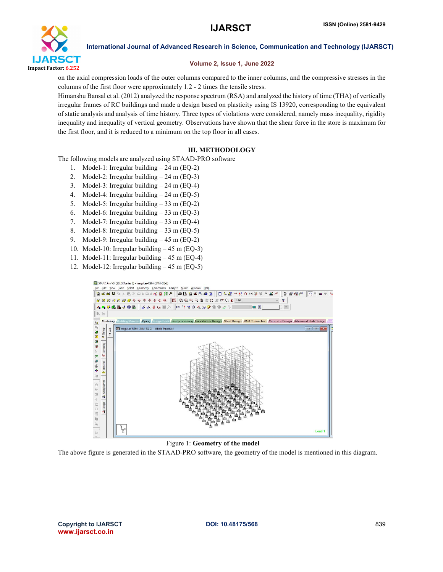

#### Volume 2, Issue 1, June 2022

on the axial compression loads of the outer columns compared to the inner columns, and the compressive stresses in the columns of the first floor were approximately 1.2 - 2 times the tensile stress.

Himanshu Bansal et al. (2012) analyzed the response spectrum (RSA) and analyzed the history of time (THA) of vertically irregular frames of RC buildings and made a design based on plasticity using IS 13920, corresponding to the equivalent of static analysis and analysis of time history. Three types of violations were considered, namely mass inequality, rigidity inequality and inequality of vertical geometry. Observations have shown that the shear force in the store is maximum for the first floor, and it is reduced to a minimum on the top floor in all cases.

#### III. METHODOLOGY

The following models are analyzed using STAAD-PRO software

- 1. Model-1: Irregular building 24 m (EQ-2)
- 2. Model-2: Irregular building 24 m (EQ-3)
- 3. Model-3: Irregular building 24 m (EQ-4)
- 4. Model-4: Irregular building 24 m (EQ-5)
- 5. Model-5: Irregular building 33 m (EQ-2)
- 6. Model-6: Irregular building 33 m (EQ-3)
- 7. Model-7: Irregular building 33 m (EQ-4)
- 8. Model-8: Irregular building 33 m (EQ-5)
- 9. Model-9: Irregular building 45 m (EQ-2)
- 10. Model-10: Irregular building 45 m (EQ-3)
- 11. Model-11: Irregular building 45 m (EQ-4)
- 12. Model-12: Irregular building 45 m (EQ-5)



Figure 1: Geometry of the model

The above figure is generated in the STAAD-PRO software, the geometry of the model is mentioned in this diagram.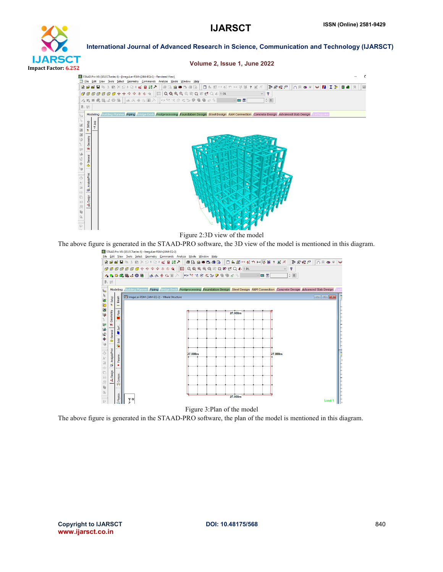

Volume 2, Issue 1, June 2022



Figure 2:3D view of the model



Figure 3:Plan of the model

The above figure is generated in the STAAD-PRO software, the plan of the model is mentioned in this diagram.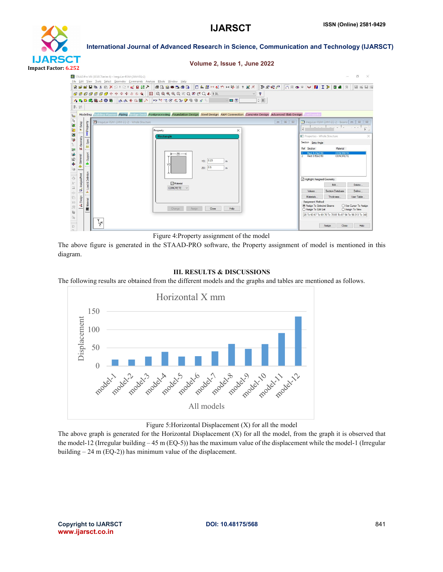

#### Volume 2, Issue 1, June 2022



Figure 4:Property assignment of the model

The above figure is generated in the STAAD-PRO software, the Property assignment of model is mentioned in this diagram.

#### III. RESULTS & DISCUSSIONS

The following results are obtained from the different models and the graphs and tables are mentioned as follows.



#### Figure 5:Horizontal Displacement (X) for all the model

The above graph is generated for the Horizontal Displacement (X) for all the model, from the graph it is observed that the model-12 (Irregular building – 45 m (EQ-5)) has the maximum value of the displacement while the model-1 (Irregular building – 24 m (EQ-2)) has minimum value of the displacement.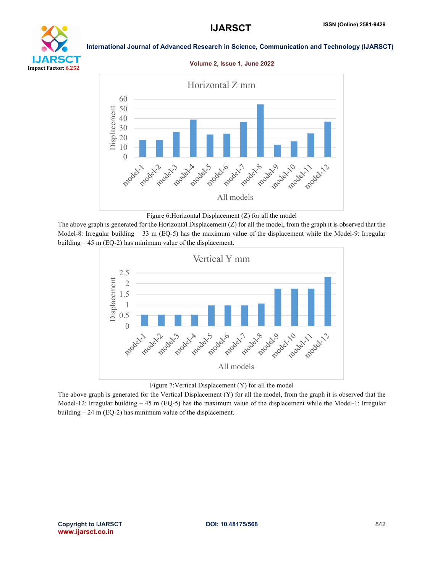# YТ Impact Factor: 6.252

#### International Journal of Advanced Research in Science, Communication and Technology (IJARSCT)

#### Volume 2, Issue 1, June 2022



Figure 6:Horizontal Displacement (Z) for all the model

The above graph is generated for the Horizontal Displacement (Z) for all the model, from the graph it is observed that the Model-8: Irregular building – 33 m (EQ-5) has the maximum value of the displacement while the Model-9: Irregular building – 45 m (EQ-2) has minimum value of the displacement.



Figure 7:Vertical Displacement (Y) for all the model

The above graph is generated for the Vertical Displacement (Y) for all the model, from the graph it is observed that the Model-12: Irregular building  $-45$  m (EQ-5) has the maximum value of the displacement while the Model-1: Irregular building – 24 m (EQ-2) has minimum value of the displacement.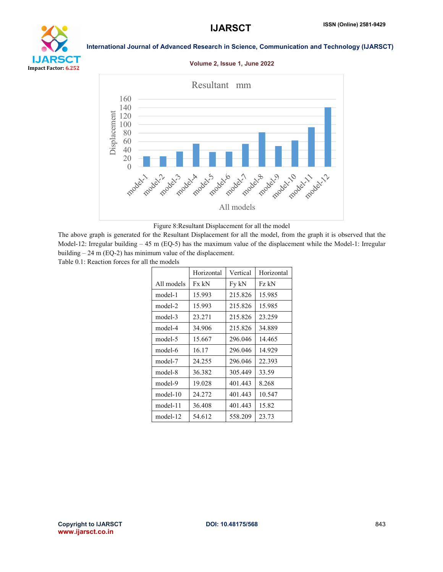

#### International Journal of Advanced Research in Science, Communication and Technology (IJARSCT)

#### Volume 2, Issue 1, June 2022





The above graph is generated for the Resultant Displacement for all the model, from the graph it is observed that the Model-12: Irregular building  $-45$  m (EQ-5) has the maximum value of the displacement while the Model-1: Irregular building – 24 m (EQ-2) has minimum value of the displacement.

Table 0.1: Reaction forces for all the models

|            | Horizontal | Vertical | Horizontal |
|------------|------------|----------|------------|
| All models | Fx kN      | Fy kN    | Fz kN      |
| model-1    | 15.993     | 215.826  | 15.985     |
| model-2    | 15.993     | 215.826  | 15.985     |
| model-3    | 23.271     | 215.826  | 23.259     |
| model-4    | 34.906     | 215.826  | 34.889     |
| model-5    | 15.667     | 296.046  | 14.465     |
| model-6    | 16.17      | 296.046  | 14.929     |
| model-7    | 24.255     | 296.046  | 22.393     |
| model-8    | 36.382     | 305.449  | 33.59      |
| model-9    | 19.028     | 401.443  | 8.268      |
| $model-10$ | 24.272     | 401.443  | 10.547     |
| model-11   | 36.408     | 401.443  | 15.82      |
| model-12   | 54.612     | 558.209  | 23.73      |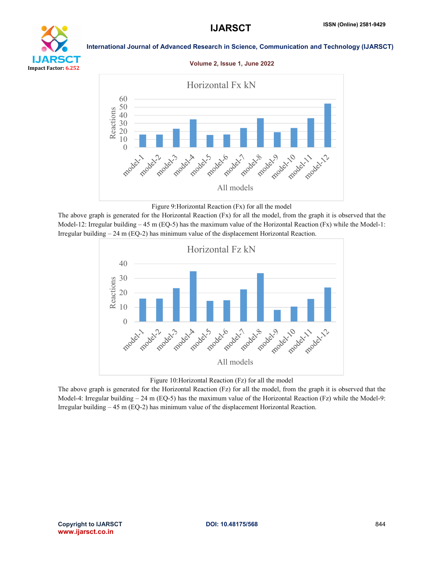

#### International Journal of Advanced Research in Science, Communication and Technology (IJARSCT)

#### Volume 2, Issue 1, June 2022



#### Figure 9:Horizontal Reaction (Fx) for all the model

The above graph is generated for the Horizontal Reaction (Fx) for all the model, from the graph it is observed that the Model-12: Irregular building  $-45$  m (EQ-5) has the maximum value of the Horizontal Reaction (Fx) while the Model-1: Irregular building – 24 m (EQ-2) has minimum value of the displacement Horizontal Reaction.



#### Figure 10:Horizontal Reaction (Fz) for all the model

The above graph is generated for the Horizontal Reaction (Fz) for all the model, from the graph it is observed that the Model-4: Irregular building  $-24$  m (EQ-5) has the maximum value of the Horizontal Reaction (Fz) while the Model-9: Irregular building – 45 m (EQ-2) has minimum value of the displacement Horizontal Reaction.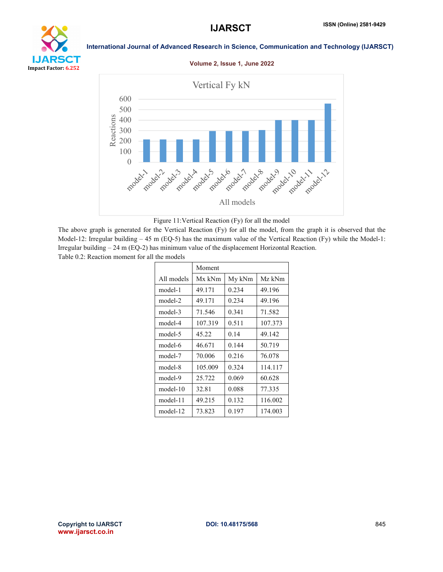## **IJARS etit** Impact Factor: 6.252

#### International Journal of Advanced Research in Science, Communication and Technology (IJARSCT)

#### Volume 2, Issue 1, June 2022





The above graph is generated for the Vertical Reaction (Fy) for all the model, from the graph it is observed that the Model-12: Irregular building  $-45$  m (EQ-5) has the maximum value of the Vertical Reaction (Fy) while the Model-1: Irregular building – 24 m (EQ-2) has minimum value of the displacement Horizontal Reaction. Table 0.2: Reaction moment for all the models

|            | Moment  |        |         |
|------------|---------|--------|---------|
| All models | Mx kNm  | My kNm | Mz kNm  |
| model-1    | 49.171  | 0.234  | 49.196  |
| model-2    | 49.171  | 0.234  | 49.196  |
| model-3    | 71.546  | 0.341  | 71.582  |
| model-4    | 107.319 | 0.511  | 107.373 |
| model-5    | 45.22   | 0.14   | 49.142  |
| model-6    | 46.671  | 0.144  | 50.719  |
| model-7    | 70.006  | 0.216  | 76.078  |
| model-8    | 105.009 | 0.324  | 114.117 |
| model-9    | 25.722  | 0.069  | 60.628  |
| $model-10$ | 32.81   | 0.088  | 77.335  |
| model-11   | 49.215  | 0.132  | 116.002 |
| model-12   | 73.823  | 0.197  | 174.003 |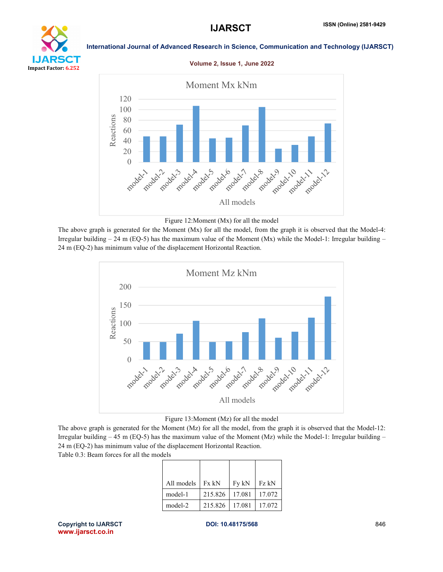# YТ Impact Factor: 6.252

#### International Journal of Advanced Research in Science, Communication and Technology (IJARSCT)

#### Volume 2, Issue 1, June 2022





The above graph is generated for the Moment (Mx) for all the model, from the graph it is observed that the Model-4: Irregular building  $-24$  m (EQ-5) has the maximum value of the Moment (Mx) while the Model-1: Irregular building  $-$ 24 m (EQ-2) has minimum value of the displacement Horizontal Reaction.





The above graph is generated for the Moment (Mz) for all the model, from the graph it is observed that the Model-12: Irregular building – 45 m (EQ-5) has the maximum value of the Moment (Mz) while the Model-1: Irregular building – 24 m (EQ-2) has minimum value of the displacement Horizontal Reaction.

Table 0.3: Beam forces for all the models

| All models | Fx kN   | Fy kN  | Fz kN  |
|------------|---------|--------|--------|
| model-1    | 215.826 | 17.081 | 17.072 |
| model-2    | 215.826 | 17.081 | 17.072 |

Copyright to IJARSCT **DOI: 10.48175/568** 846 www.ijarsct.co.in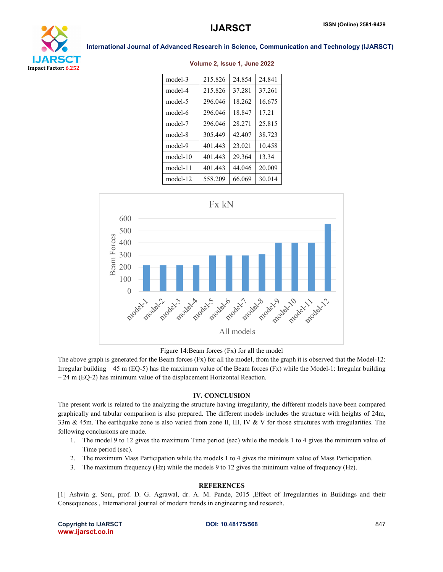

| model-3    | 215.826 | 24.854 | 24.841 |
|------------|---------|--------|--------|
| model-4    | 215.826 | 37.281 | 37.261 |
| model-5    | 296.046 | 18.262 | 16.675 |
| model-6    | 296.046 | 18.847 | 17.21  |
| model-7    | 296.046 | 28.271 | 25.815 |
| model-8    | 305.449 | 42.407 | 38.723 |
| model-9    | 401.443 | 23 021 | 10458  |
| $model-10$ | 401.443 | 29.364 | 13.34  |
| model-11   | 401.443 | 44.046 | 20.009 |
| model-12   | 558.209 | 66.069 | 30.014 |







The above graph is generated for the Beam forces (Fx) for all the model, from the graph it is observed that the Model-12: Irregular building – 45 m (EQ-5) has the maximum value of the Beam forces (Fx) while the Model-1: Irregular building – 24 m (EQ-2) has minimum value of the displacement Horizontal Reaction.

#### IV. CONCLUSION

The present work is related to the analyzing the structure having irregularity, the different models have been compared graphically and tabular comparison is also prepared. The different models includes the structure with heights of 24m, 33m & 45m. The earthquake zone is also varied from zone II, III, IV & V for those structures with irregularities. The following conclusions are made.

- 1. The model 9 to 12 gives the maximum Time period (sec) while the models 1 to 4 gives the minimum value of Time period (sec).
- 2. The maximum Mass Participation while the models 1 to 4 gives the minimum value of Mass Participation.
- 3. The maximum frequency (Hz) while the models 9 to 12 gives the minimum value of frequency (Hz).

#### **REFERENCES**

[1] Ashvin g. Soni, prof. D. G. Agrawal, dr. A. M. Pande, 2015 ,Effect of Irregularities in Buildings and their Consequences , International journal of modern trends in engineering and research.

Copyright to IJARSCT **DOI: 10.48175/568** 847 www.ijarsct.co.in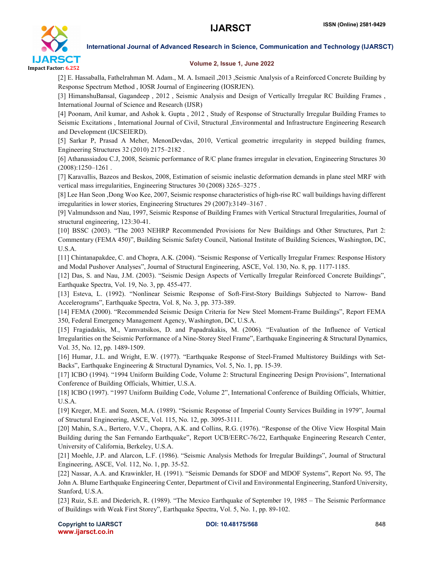

#### Volume 2, Issue 1, June 2022

[2] E. Hassaballa, Fathelrahman M. Adam., M. A. Ismaeil ,2013 ,Seismic Analysis of a Reinforced Concrete Building by Response Spectrum Method , IOSR Journal of Engineering (IOSRJEN).

[3] HimanshuBansal, Gagandeep , 2012 , Seismic Analysis and Design of Vertically Irregular RC Building Frames , International Journal of Science and Research (IJSR)

[4] Poonam, Anil kumar, and Ashok k. Gupta , 2012 , Study of Response of Structurally Irregular Building Frames to Seismic Excitations , International Journal of Civil, Structural ,Environmental and Infrastructure Engineering Research and Development (IJCSEIERD).

[5] Sarkar P, Prasad A Meher, MenonDevdas, 2010, Vertical geometric irregularity in stepped building frames, Engineering Structures 32 (2010) 2175–2182 .

[6] Athanassiadou C.J, 2008, Seismic performance of R/C plane frames irregular in elevation, Engineering Structures 30 (2008):1250–1261 .

[7] Karavallis, Bazeos and Beskos, 2008, Estimation of seismic inelastic deformation demands in plane steel MRF with vertical mass irregularities, Engineering Structures 30 (2008) 3265–3275 .

[8] Lee Han Seon ,Dong Woo Kee, 2007, Seismic response characteristics of high-rise RC wall buildings having different irregularities in lower stories, Engineering Structures 29 (2007):3149–3167 .

[9] Valmundsson and Nau, 1997, Seismic Response of Building Frames with Vertical Structural Irregularities, Journal of structural engineering, 123:30-41.

[10] BSSC (2003). "The 2003 NEHRP Recommended Provisions for New Buildings and Other Structures, Part 2: Commentary (FEMA 450)", Building Seismic Safety Council, National Institute of Building Sciences, Washington, DC, U.S.A.

[11] Chintanapakdee, C. and Chopra, A.K. (2004). "Seismic Response of Vertically Irregular Frames: Response History and Modal Pushover Analyses", Journal of Structural Engineering, ASCE, Vol. 130, No. 8, pp. 1177-1185.

[12] Das, S. and Nau, J.M. (2003). "Seismic Design Aspects of Vertically Irregular Reinforced Concrete Buildings", Earthquake Spectra, Vol. 19, No. 3, pp. 455-477.

[13] Esteva, L. (1992). "Nonlinear Seismic Response of Soft-First-Story Buildings Subjected to Narrow- Band Accelerograms", Earthquake Spectra, Vol. 8, No. 3, pp. 373-389.

[14] FEMA (2000). "Recommended Seismic Design Criteria for New Steel Moment-Frame Buildings", Report FEMA 350, Federal Emergency Management Agency, Washington, DC, U.S.A.

[15] Fragiadakis, M., Vamvatsikos, D. and Papadrakakis, M. (2006). "Evaluation of the Influence of Vertical Irregularities on the Seismic Performance of a Nine-Storey Steel Frame", Earthquake Engineering & Structural Dynamics, Vol. 35, No. 12, pp. 1489-1509.

[16] Humar, J.L. and Wright, E.W. (1977). "Earthquake Response of Steel-Framed Multistorey Buildings with Set-Backs", Earthquake Engineering & Structural Dynamics, Vol. 5, No. 1, pp. 15-39.

[17] ICBO (1994). "1994 Uniform Building Code, Volume 2: Structural Engineering Design Provisions", International Conference of Building Officials, Whittier, U.S.A.

[18] ICBO (1997). "1997 Uniform Building Code, Volume 2", International Conference of Building Officials, Whittier, U.S.A.

[19] Kreger, M.E. and Sozen, M.A. (1989). "Seismic Response of Imperial County Services Building in 1979", Journal of Structural Engineering, ASCE, Vol. 115, No. 12, pp. 3095-3111.

[20] Mahin, S.A., Bertero, V.V., Chopra, A.K. and Collins, R.G. (1976). "Response of the Olive View Hospital Main Building during the San Fernando Earthquake", Report UCB/EERC-76/22, Earthquake Engineering Research Center, University of California, Berkeley, U.S.A.

[21] Moehle, J.P. and Alarcon, L.F. (1986). "Seismic Analysis Methods for Irregular Buildings", Journal of Structural Engineering, ASCE, Vol. 112, No. 1, pp. 35-52.

[22] Nassar, A.A. and Krawinkler, H. (1991). "Seismic Demands for SDOF and MDOF Systems", Report No. 95, The John A. Blume Earthquake Engineering Center, Department of Civil and Environmental Engineering, Stanford University, Stanford, U.S.A.

[23] Ruiz, S.E. and Diederich, R. (1989). "The Mexico Earthquake of September 19, 1985 – The Seismic Performance of Buildings with Weak First Storey", Earthquake Spectra, Vol. 5, No. 1, pp. 89-102.